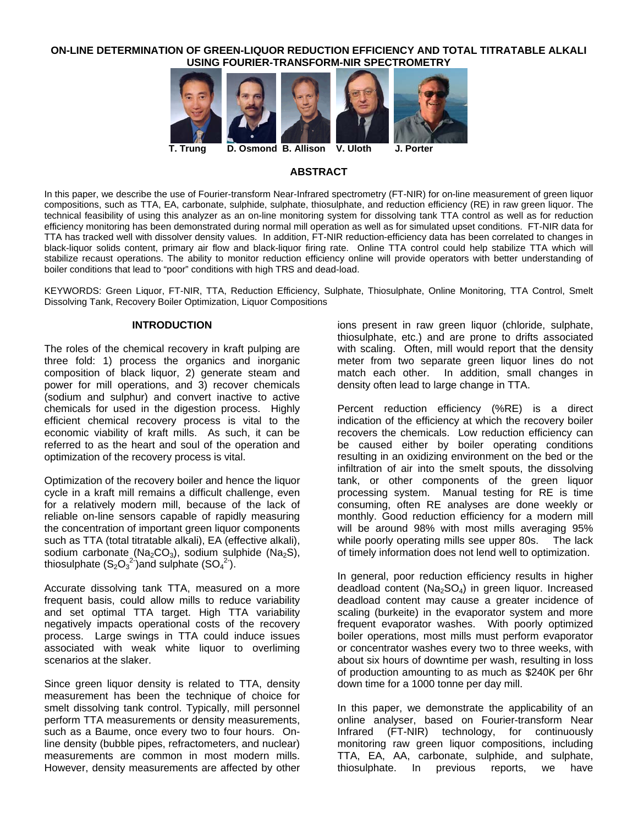## **ON-LINE DETERMINATION OF GREEN-LIQUOR REDUCTION EFFICIENCY AND TOTAL TITRATABLE ALKALI USING FOURIER-TRANSFORM-NIR SPECTROMETRY**



## **ABSTRACT**

In this paper, we describe the use of Fourier-transform Near-Infrared spectrometry (FT-NIR) for on-line measurement of green liquor compositions, such as TTA, EA, carbonate, sulphide, sulphate, thiosulphate, and reduction efficiency (RE) in raw green liquor. The technical feasibility of using this analyzer as an on-line monitoring system for dissolving tank TTA control as well as for reduction efficiency monitoring has been demonstrated during normal mill operation as well as for simulated upset conditions. FT-NIR data for TTA has tracked well with dissolver density values. In addition, FT-NIR reduction-efficiency data has been correlated to changes in black-liquor solids content, primary air flow and black-liquor firing rate. Online TTA control could help stabilize TTA which will stabilize recaust operations. The ability to monitor reduction efficiency online will provide operators with better understanding of boiler conditions that lead to "poor" conditions with high TRS and dead-load.

KEYWORDS: Green Liquor, FT-NIR, TTA, Reduction Efficiency, Sulphate, Thiosulphate, Online Monitoring, TTA Control, Smelt Dissolving Tank, Recovery Boiler Optimization, Liquor Compositions

## **INTRODUCTION**

The roles of the chemical recovery in kraft pulping are three fold: 1) process the organics and inorganic composition of black liquor, 2) generate steam and power for mill operations, and 3) recover chemicals (sodium and sulphur) and convert inactive to active chemicals for used in the digestion process. Highly efficient chemical recovery process is vital to the economic viability of kraft mills. As such, it can be referred to as the heart and soul of the operation and optimization of the recovery process is vital.

Optimization of the recovery boiler and hence the liquor cycle in a kraft mill remains a difficult challenge, even for a relatively modern mill, because of the lack of reliable on-line sensors capable of rapidly measuring the concentration of important green liquor components such as TTA (total titratable alkali), EA (effective alkali), sodium carbonate (Na<sub>2</sub>CO<sub>3</sub>), sodium sulphide (Na<sub>2</sub>S), thiosulphate  $(S_2O_3^2)$ and sulphate  $(SO_4^2)$ .

Accurate dissolving tank TTA, measured on a more frequent basis, could allow mills to reduce variability and set optimal TTA target. High TTA variability negatively impacts operational costs of the recovery process. Large swings in TTA could induce issues associated with weak white liquor to overliming scenarios at the slaker.

Since green liquor density is related to TTA, density measurement has been the technique of choice for smelt dissolving tank control. Typically, mill personnel perform TTA measurements or density measurements, such as a Baume, once every two to four hours. Online density (bubble pipes, refractometers, and nuclear) measurements are common in most modern mills. However, density measurements are affected by other

ions present in raw green liquor (chloride, sulphate, thiosulphate, etc.) and are prone to drifts associated with scaling. Often, mill would report that the density meter from two separate green liquor lines do not match each other. In addition, small changes in density often lead to large change in TTA.

Percent reduction efficiency (%RE) is a direct indication of the efficiency at which the recovery boiler recovers the chemicals. Low reduction efficiency can be caused either by boiler operating conditions resulting in an oxidizing environment on the bed or the infiltration of air into the smelt spouts, the dissolving tank, or other components of the green liquor processing system. Manual testing for RE is time consuming, often RE analyses are done weekly or monthly. Good reduction efficiency for a modern mill will be around 98% with most mills averaging 95% while poorly operating mills see upper 80s. The lack of timely information does not lend well to optimization.

In general, poor reduction efficiency results in higher deadload content ( $Na<sub>2</sub>SO<sub>4</sub>$ ) in green liquor. Increased deadload content may cause a greater incidence of scaling (burkeite) in the evaporator system and more frequent evaporator washes. With poorly optimized boiler operations, most mills must perform evaporator or concentrator washes every two to three weeks, with about six hours of downtime per wash, resulting in loss of production amounting to as much as \$240K per 6hr down time for a 1000 tonne per day mill.

In this paper, we demonstrate the applicability of an online analyser, based on Fourier-transform Near Infrared (FT-NIR) technology, for continuously monitoring raw green liquor compositions, including TTA, EA, AA, carbonate, sulphide, and sulphate, thiosulphate. In previous reports, we have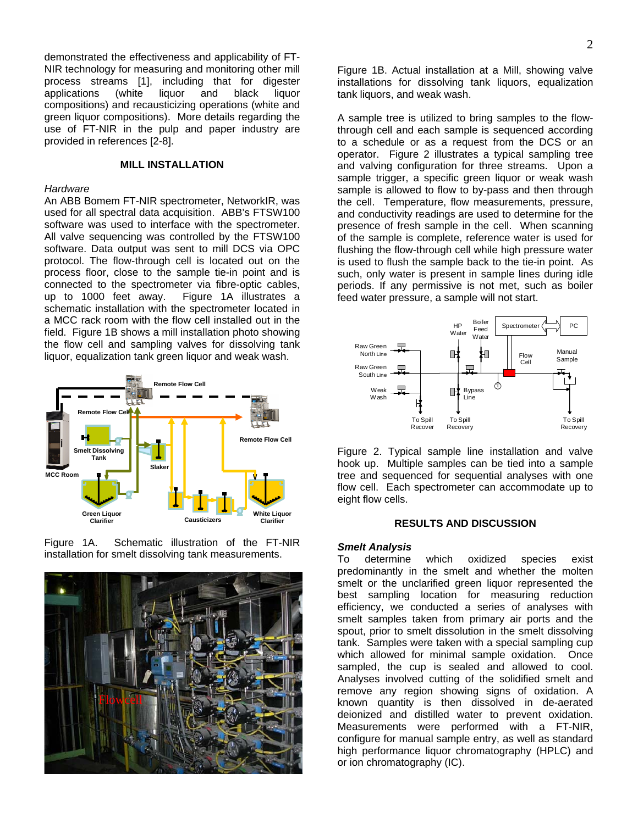demonstrated the effectiveness and applicability of FT-NIR technology for measuring and monitoring other mill process streams [1], including that for digester applications (white liquor and black liquor compositions) and recausticizing operations (white and green liquor compositions). More details regarding the use of FT-NIR in the pulp and paper industry are provided in references [2-8].

## **MILL INSTALLATION**

## *Hardware*

An ABB Bomem FT-NIR spectrometer, NetworkIR, was used for all spectral data acquisition. ABB's FTSW100 software was used to interface with the spectrometer. All valve sequencing was controlled by the FTSW100 software. Data output was sent to mill DCS via OPC protocol. The flow-through cell is located out on the process floor, close to the sample tie-in point and is connected to the spectrometer via fibre-optic cables, up to 1000 feet away. Figure 1A illustrates a schematic installation with the spectrometer located in a MCC rack room with the flow cell installed out in the field. Figure 1B shows a mill installation photo showing the flow cell and sampling valves for dissolving tank liquor, equalization tank green liquor and weak wash.



Figure 1A. Schematic illustration of the FT-NIR installation for smelt dissolving tank measurements.



Figure 1B. Actual installation at a Mill, showing valve installations for dissolving tank liquors, equalization tank liquors, and weak wash.

A sample tree is utilized to bring samples to the flowthrough cell and each sample is sequenced according to a schedule or as a request from the DCS or an operator. Figure 2 illustrates a typical sampling tree and valving configuration for three streams. Upon a sample trigger, a specific green liquor or weak wash sample is allowed to flow to by-pass and then through the cell. Temperature, flow measurements, pressure, and conductivity readings are used to determine for the presence of fresh sample in the cell. When scanning of the sample is complete, reference water is used for flushing the flow-through cell while high pressure water is used to flush the sample back to the tie-in point. As such, only water is present in sample lines during idle periods. If any permissive is not met, such as boiler feed water pressure, a sample will not start.



Figure 2. Typical sample line installation and valve hook up. Multiple samples can be tied into a sample tree and sequenced for sequential analyses with one flow cell. Each spectrometer can accommodate up to eight flow cells.

# **RESULTS AND DISCUSSION**

## *Smelt Analysis*

To determine which oxidized species exist predominantly in the smelt and whether the molten smelt or the unclarified green liquor represented the best sampling location for measuring reduction efficiency, we conducted a series of analyses with smelt samples taken from primary air ports and the spout, prior to smelt dissolution in the smelt dissolving tank. Samples were taken with a special sampling cup which allowed for minimal sample oxidation. Once sampled, the cup is sealed and allowed to cool. Analyses involved cutting of the solidified smelt and remove any region showing signs of oxidation. A known quantity is then dissolved in de-aerated deionized and distilled water to prevent oxidation. Measurements were performed with a FT-NIR, configure for manual sample entry, as well as standard high performance liquor chromatography (HPLC) and or ion chromatography (IC).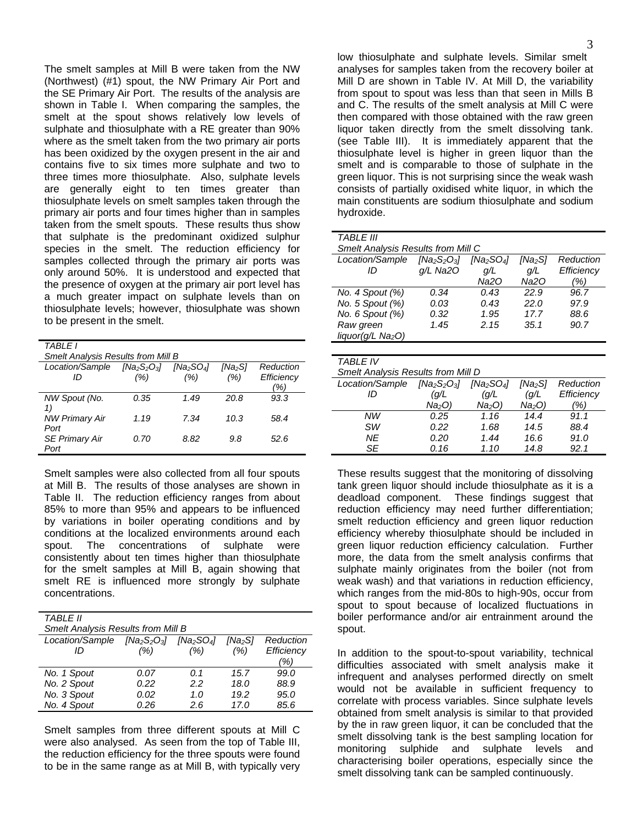The smelt samples at Mill B were taken from the NW (Northwest) (#1) spout, the NW Primary Air Port and the SE Primary Air Port. The results of the analysis are shown in Table I. When comparing the samples, the smelt at the spout shows relatively low levels of sulphate and thiosulphate with a RE greater than 90% where as the smelt taken from the two primary air ports has been oxidized by the oxygen present in the air and contains five to six times more sulphate and two to three times more thiosulphate. Also, sulphate levels are generally eight to ten times greater than thiosulphate levels on smelt samples taken through the primary air ports and four times higher than in samples taken from the smelt spouts. These results thus show that sulphate is the predominant oxidized sulphur species in the smelt. The reduction efficiency for samples collected through the primary air ports was only around 50%. It is understood and expected that the presence of oxygen at the primary air port level has a much greater impact on sulphate levels than on thiosulphate levels; however, thiosulphate was shown to be present in the smelt.

*TABLE I* 

*Smelt Analysis Results from Mill B* 

| Location/Sample<br>חו         | $[Na2S2O3]$<br>(%) | [Na <sub>2</sub> SO <sub>4</sub> ]<br>(%) | [Na <sub>2</sub> S]<br>(%) | Reduction<br>Efficiency<br>(%) |
|-------------------------------|--------------------|-------------------------------------------|----------------------------|--------------------------------|
| NW Spout (No.                 | 0.35               | 1.49                                      | 20.8                       | 93.3                           |
| <b>NW Primary Air</b><br>Port | 1.19               | 7.34                                      | 10.3                       | 58.4                           |
| <b>SE Primary Air</b><br>Port | 0.70               | 8.82                                      | 9.8                        | 52.6                           |

Smelt samples were also collected from all four spouts at Mill B. The results of those analyses are shown in Table II. The reduction efficiency ranges from about 85% to more than 95% and appears to be influenced by variations in boiler operating conditions and by conditions at the localized environments around each spout. The concentrations of sulphate were consistently about ten times higher than thiosulphate for the smelt samples at Mill B, again showing that smelt RE is influenced more strongly by sulphate concentrations.

| <b>TABI F II</b><br><b>Smelt Analysis Results from Mill B</b> |      |      |                     |            |  |
|---------------------------------------------------------------|------|------|---------------------|------------|--|
| Location/Sample $[Na_2S_2O_3]$ $[Na_2SO_4]$                   |      |      | [Na <sub>2</sub> S] | Reduction  |  |
| ID                                                            | (% ) | (% ) | (% )                | Efficiency |  |
|                                                               |      |      |                     | '%¦        |  |
| No. 1 Spout                                                   | 0.07 | በ 1  | 15.7                | 99.0       |  |
| No. 2 Spout                                                   | 0.22 | 22   | 18.0                | 88.9       |  |
| No. 3 Spout                                                   | 0.02 | 1.O  | 19.2                | 95.0       |  |
| No. 4 Spout                                                   | 0.26 | 2.6  | 17.0                | 85.6       |  |

Smelt samples from three different spouts at Mill C were also analysed. As seen from the top of Table III, the reduction efficiency for the three spouts were found to be in the same range as at Mill B, with typically very

low thiosulphate and sulphate levels. Similar smelt analyses for samples taken from the recovery boiler at Mill D are shown in Table IV. At Mill D, the variability from spout to spout was less than that seen in Mills B and C. The results of the smelt analysis at Mill C were then compared with those obtained with the raw green liquor taken directly from the smelt dissolving tank. (see Table III). It is immediately apparent that the thiosulphate level is higher in green liquor than the smelt and is comparable to those of sulphate in the green liquor. This is not surprising since the weak wash consists of partially oxidised white liquor, in which the main constituents are sodium thiosulphate and sodium hydroxide.

| <b>TABLE III</b>                          |                                                                                       |      |      |            |  |  |  |  |
|-------------------------------------------|---------------------------------------------------------------------------------------|------|------|------------|--|--|--|--|
| <b>Smelt Analysis Results from Mill C</b> |                                                                                       |      |      |            |  |  |  |  |
| Location/Sample                           | $[Na2S2O3]$<br>[Na <sub>2</sub> SO <sub>4</sub> ]<br>Reduction<br>[Na <sub>2</sub> S] |      |      |            |  |  |  |  |
| ID                                        | $q/L$ Na2O                                                                            | a/L  | a/L  | Efficiency |  |  |  |  |
|                                           |                                                                                       | Na20 | Na20 | '%)        |  |  |  |  |
| No. 4 Spout $(\%)$                        | 0.34                                                                                  | 0.43 | 22.9 | 96.7       |  |  |  |  |
| No. 5 Spout (%)                           | 0.03                                                                                  | 0.43 | 22.O | 97.9       |  |  |  |  |
| No. 6 Spout (%)                           | 0.32                                                                                  | 1.95 | 17.7 | 88.6       |  |  |  |  |
| Raw green                                 | 1.45                                                                                  | 2.15 | 35.1 | 90.7       |  |  |  |  |
| liquor(g/L Na <sub>2</sub> O)             |                                                                                       |      |      |            |  |  |  |  |
|                                           |                                                                                       |      |      |            |  |  |  |  |

| TABI F IV                                 |                    |                                    |                   |            |
|-------------------------------------------|--------------------|------------------------------------|-------------------|------------|
| <b>Smelt Analysis Results from Mill D</b> |                    |                                    |                   |            |
| Location/Sample                           | $[Na2S2O3]$        | [Na <sub>2</sub> SO <sub>4</sub> ] | [Na2S]            | Reduction  |
| ID                                        | (g/L               | (q/L)                              | (q/L)             | Efficiency |
|                                           | Na <sub>2</sub> O) | $Na2O$ )                           | Na <sub>2</sub> O | %)         |
| NW                                        | 0.25               | 1.16                               | 14.4              | 91.1       |
| SW                                        | 0.22               | 1.68                               | 14.5              | 88.4       |
| ΝE                                        | 0.20               | 1.44                               | 16.6              | 91.0       |
| SE                                        | 0.16               | 1.10                               | 14.8              | 92.1       |

These results suggest that the monitoring of dissolving tank green liquor should include thiosulphate as it is a deadload component. These findings suggest that reduction efficiency may need further differentiation; smelt reduction efficiency and green liquor reduction efficiency whereby thiosulphate should be included in green liquor reduction efficiency calculation. Further more, the data from the smelt analysis confirms that sulphate mainly originates from the boiler (not from weak wash) and that variations in reduction efficiency, which ranges from the mid-80s to high-90s, occur from spout to spout because of localized fluctuations in boiler performance and/or air entrainment around the spout.

In addition to the spout-to-spout variability, technical difficulties associated with smelt analysis make it infrequent and analyses performed directly on smelt would not be available in sufficient frequency to correlate with process variables. Since sulphate levels obtained from smelt analysis is similar to that provided by the in raw green liquor, it can be concluded that the smelt dissolving tank is the best sampling location for monitoring sulphide and sulphate levels and characterising boiler operations, especially since the smelt dissolving tank can be sampled continuously.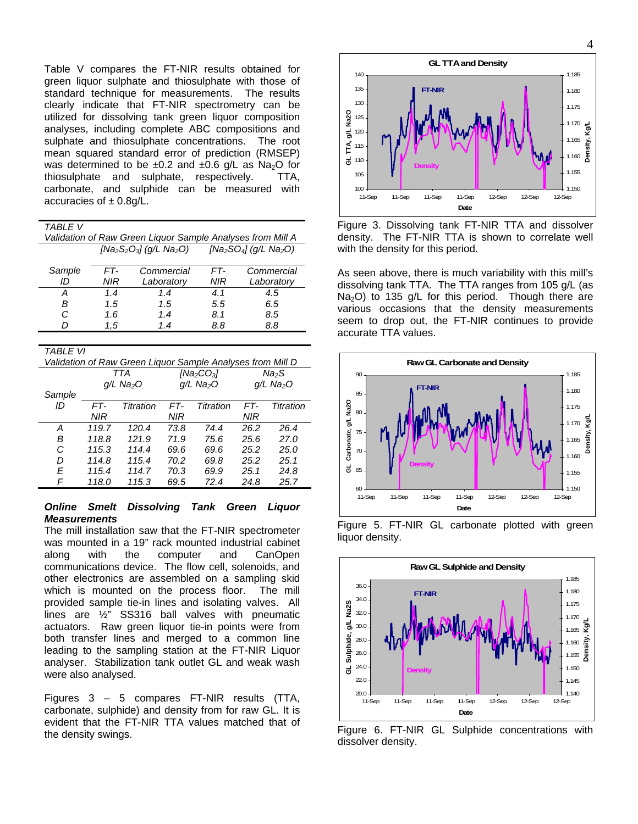Table V compares the FT-NIR results obtained for green liquor sulphate and thiosulphate with those of standard technique for measurements. The results clearly indicate that FT-NIR spectrometry can be utilized for dissolving tank green liquor composition analyses, including complete ABC compositions and sulphate and thiosulphate concentrations. The root mean squared standard error of prediction (RMSEP) was determined to be  $\pm 0.2$  and  $\pm 0.6$  g/L as Na<sub>2</sub>O for thiosulphate and sulphate, respectively. TTA, carbonate, and sulphide can be measured with accuracies of  $\pm$  0.8g/L.

| , |  |
|---|--|
|   |  |

| Validation of Raw Green Liquor Sample Analyses from Mill A |                                                                             |            |     |            |  |  |
|------------------------------------------------------------|-----------------------------------------------------------------------------|------------|-----|------------|--|--|
|                                                            | $[Na_2S_2O_3]$ (g/L Na <sub>2</sub> O) $[Na_2SO_4]$ (g/L Na <sub>2</sub> O) |            |     |            |  |  |
| Sample                                                     | FT-                                                                         | Commercial | FT- | Commercial |  |  |
| ID                                                         | NIR                                                                         | Laboratory | NIR | Laboratory |  |  |
| А                                                          | 1.4                                                                         | 1.4        | 4.1 | 4.5        |  |  |
| B                                                          | 1.5                                                                         | 1.5        | 5.5 | 6.5        |  |  |
| C                                                          | 1.6                                                                         | 1.4        | 8.1 | 8.5        |  |  |
| D                                                          | 1.5                                                                         | 1.4        | 8.8 | 8.8        |  |  |
|                                                            |                                                                             |            |     |            |  |  |
| TA DI E VI                                                 |                                                                             |            |     |            |  |  |

| IADLE VI                                                   |       |                       |      |                         |      |                         |  |
|------------------------------------------------------------|-------|-----------------------|------|-------------------------|------|-------------------------|--|
| Validation of Raw Green Liquor Sample Analyses from Mill D |       |                       |      |                         |      |                         |  |
|                                                            | TTA   |                       |      | [ $Na2CO3$ ]            |      | Na2S                    |  |
|                                                            |       | q/L Na <sub>2</sub> O |      | $g/L$ Na <sub>2</sub> O |      | $g/L$ Na <sub>2</sub> O |  |
| Sample                                                     |       |                       |      |                         |      |                         |  |
| ID                                                         | FT-   | Titration             | FT-  | <b>Titration</b>        | FT-  | Titration               |  |
|                                                            | NIR   |                       | NIR  |                         | NIR  |                         |  |
| А                                                          | 119.7 | 120.4                 | 73.8 | 74.4                    | 26.2 | 26.4                    |  |
| B                                                          | 118.8 | 121.9                 | 71.9 | 75.6                    | 25.6 | 27.0                    |  |
| C                                                          | 115.3 | 114.4                 | 69.6 | 69.6                    | 25.2 | 25.0                    |  |
| D                                                          | 114.8 | 115.4                 | 70.2 | 69.8                    | 25.2 | 25.1                    |  |
| E                                                          | 115.4 | 114.7                 | 70.3 | 69.9                    | 25.1 | 24.8                    |  |
| F                                                          | 118.0 | 115.3                 | 69.5 | 72.4                    | 24.8 | 25.7                    |  |

# *Online Smelt Dissolving Tank Green Liquor Measurements*

The mill installation saw that the FT-NIR spectrometer was mounted in a 19" rack mounted industrial cabinet along with the computer and CanOpen communications device. The flow cell, solenoids, and other electronics are assembled on a sampling skid which is mounted on the process floor. The mill provided sample tie-in lines and isolating valves. All lines are ½" SS316 ball valves with pneumatic actuators. Raw green liquor tie-in points were from both transfer lines and merged to a common line leading to the sampling station at the FT-NIR Liquor analyser. Stabilization tank outlet GL and weak wash were also analysed.

Figures 3 – 5 compares FT-NIR results (TTA, carbonate, sulphide) and density from for raw GL. It is evident that the FT-NIR TTA values matched that of the density swings.



Figure 3. Dissolving tank FT-NIR TTA and dissolver density. The FT-NIR TTA is shown to correlate well with the density for this period.

As seen above, there is much variability with this mill's dissolving tank TTA. The TTA ranges from 105 g/L (as Na<sub>2</sub>O) to 135 g/L for this period. Though there are various occasions that the density measurements seem to drop out, the FT-NIR continues to provide accurate TTA values.







Figure 6. FT-NIR GL Sulphide concentrations with dissolver density.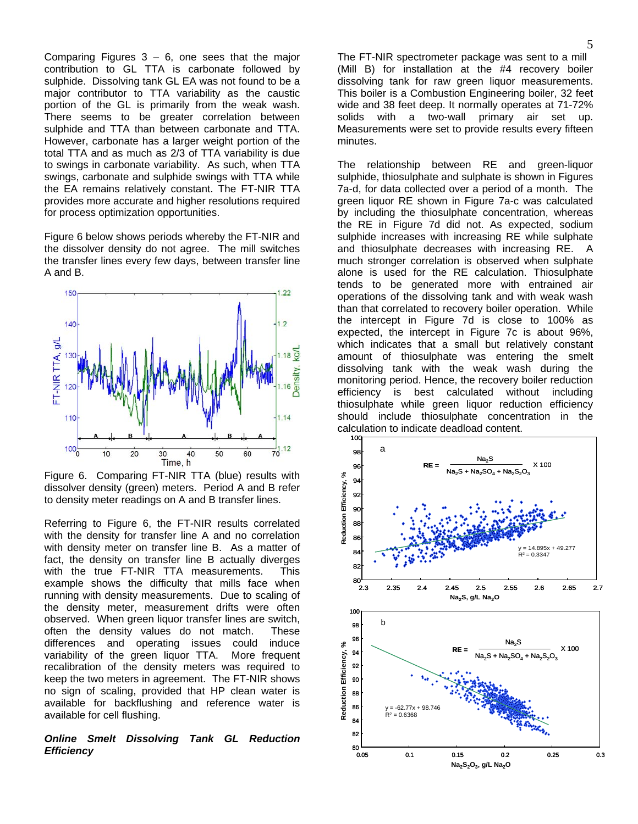Comparing Figures  $3 - 6$ , one sees that the major contribution to GL TTA is carbonate followed by sulphide. Dissolving tank GL EA was not found to be a major contributor to TTA variability as the caustic portion of the GL is primarily from the weak wash. There seems to be greater correlation between sulphide and TTA than between carbonate and TTA. However, carbonate has a larger weight portion of the total TTA and as much as 2/3 of TTA variability is due to swings in carbonate variability. As such, when TTA swings, carbonate and sulphide swings with TTA while the EA remains relatively constant. The FT-NIR TTA provides more accurate and higher resolutions required for process optimization opportunities.

Figure 6 below shows periods whereby the FT-NIR and the dissolver density do not agree. The mill switches the transfer lines every few days, between transfer line A and B.



Figure 6. Comparing FT-NIR TTA (blue) results with dissolver density (green) meters. Period A and B refer to density meter readings on A and B transfer lines.

Referring to Figure 6, the FT-NIR results correlated with the density for transfer line A and no correlation with density meter on transfer line B. As a matter of fact, the density on transfer line B actually diverges with the true FT-NIR TTA measurements. This example shows the difficulty that mills face when running with density measurements. Due to scaling of the density meter, measurement drifts were often observed. When green liquor transfer lines are switch, often the density values do not match. These differences and operating issues could induce variability of the green liquor TTA. More frequent recalibration of the density meters was required to keep the two meters in agreement. The FT-NIR shows no sign of scaling, provided that HP clean water is available for backflushing and reference water is available for cell flushing.

# *Online Smelt Dissolving Tank GL Reduction Efficiency*

The FT-NIR spectrometer package was sent to a mill (Mill B) for installation at the #4 recovery boiler dissolving tank for raw green liquor measurements. This boiler is a Combustion Engineering boiler, 32 feet wide and 38 feet deep. It normally operates at 71-72% solids with a two-wall primary air set up. Measurements were set to provide results every fifteen minutes.

The relationship between RE and green-liquor sulphide, thiosulphate and sulphate is shown in Figures 7a-d, for data collected over a period of a month. The green liquor RE shown in Figure 7a-c was calculated by including the thiosulphate concentration, whereas the RE in Figure 7d did not. As expected, sodium sulphide increases with increasing RE while sulphate and thiosulphate decreases with increasing RE. A much stronger correlation is observed when sulphate alone is used for the RE calculation. Thiosulphate tends to be generated more with entrained air operations of the dissolving tank and with weak wash than that correlated to recovery boiler operation. While the intercept in Figure 7d is close to 100% as expected, the intercept in Figure 7c is about 96%, which indicates that a small but relatively constant amount of thiosulphate was entering the smelt dissolving tank with the weak wash during the monitoring period. Hence, the recovery boiler reduction efficiency is best calculated without including thiosulphate while green liquor reduction efficiency should include thiosulphate concentration in the calculation to indicate deadload content.



0.05 0.1 0.15 0.2 0.25 0.3

**Na2S2O3, g/L Na2O**

—ا 80<br>0.05 82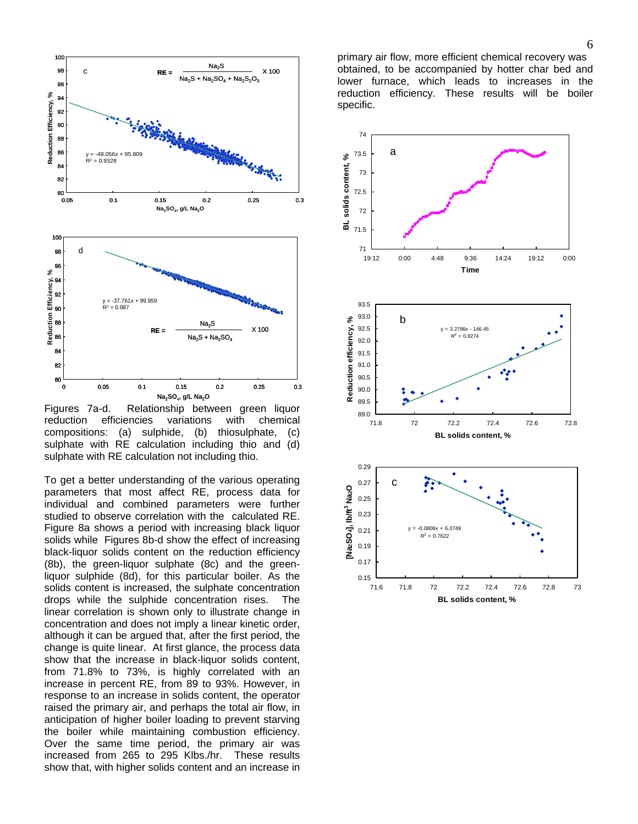

Figures 7a-d. Relationship between green liquor reduction efficiencies variations with chemical compositions: (a) sulphide, (b) thiosulphate, (c) sulphate with RE calculation including thio and (d) sulphate with RE calculation not including thio.

To get a better understanding of the various operating parameters that most affect RE, process data for individual and combined parameters were further studied to observe correlation with the calculated RE. Figure 8a shows a period with increasing black liquor solids while Figures 8b-d show the effect of increasing black-liquor solids content on the reduction efficiency (8b), the green-liquor sulphate (8c) and the greenliquor sulphide (8d), for this particular boiler. As the solids content is increased, the sulphate concentration drops while the sulphide concentration rises. The linear correlation is shown only to illustrate change in concentration and does not imply a linear kinetic order, although it can be argued that, after the first period, the change is quite linear. At first glance, the process data show that the increase in black-liquor solids content, from 71.8% to 73%, is highly correlated with an increase in percent RE, from 89 to 93%. However, in response to an increase in solids content, the operator raised the primary air, and perhaps the total air flow, in anticipation of higher boiler loading to prevent starving the boiler while maintaining combustion efficiency. Over the same time period, the primary air was increased from 265 to 295 Klbs./hr. These results show that, with higher solids content and an increase in

primary air flow, more efficient chemical recovery was obtained, to be accompanied by hotter char bed and lower furnace, which leads to increases in the reduction efficiency. These results will be boiler specific.

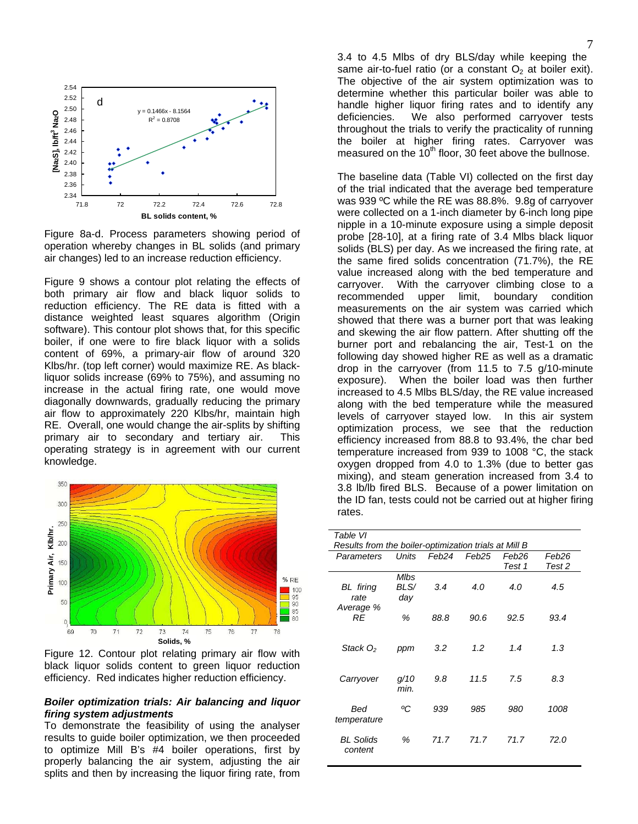

Figure 8a-d. Process parameters showing period of operation whereby changes in BL solids (and primary air changes) led to an increase reduction efficiency.

Figure 9 shows a contour plot relating the effects of both primary air flow and black liquor solids to reduction efficiency. The RE data is fitted with a distance weighted least squares algorithm (Origin software). This contour plot shows that, for this specific boiler, if one were to fire black liquor with a solids content of 69%, a primary-air flow of around 320 Klbs/hr. (top left corner) would maximize RE. As blackliquor solids increase (69% to 75%), and assuming no increase in the actual firing rate, one would move diagonally downwards, gradually reducing the primary air flow to approximately 220 Klbs/hr, maintain high RE. Overall, one would change the air-splits by shifting primary air to secondary and tertiary air. This operating strategy is in agreement with our current knowledge.



Figure 12. Contour plot relating primary air flow with black liquor solids content to green liquor reduction efficiency. Red indicates higher reduction efficiency.

## *Boiler optimization trials: Air balancing and liquor firing system adjustments*

To demonstrate the feasibility of using the analyser results to guide boiler optimization, we then proceeded to optimize Mill B's #4 boiler operations, first by properly balancing the air system, adjusting the air splits and then by increasing the liquor firing rate, from 3.4 to 4.5 Mlbs of dry BLS/day while keeping the same air-to-fuel ratio (or a constant  $O<sub>2</sub>$  at boiler exit). The objective of the air system optimization was to determine whether this particular boiler was able to handle higher liquor firing rates and to identify any deficiencies. We also performed carryover tests throughout the trials to verify the practicality of running the boiler at higher firing rates. Carryover was measured on the  $10<sup>th</sup>$  floor, 30 feet above the bullnose.

The baseline data (Table VI) collected on the first day of the trial indicated that the average bed temperature was 939 ºC while the RE was 88.8%. 9.8g of carryover were collected on a 1-inch diameter by 6-inch long pipe nipple in a 10-minute exposure using a simple deposit probe [28-10], at a firing rate of 3.4 Mlbs black liquor solids (BLS) per day. As we increased the firing rate, at the same fired solids concentration (71.7%), the RE value increased along with the bed temperature and carryover. With the carryover climbing close to a recommended upper limit, boundary condition measurements on the air system was carried which showed that there was a burner port that was leaking and skewing the air flow pattern. After shutting off the burner port and rebalancing the air, Test-1 on the following day showed higher RE as well as a dramatic drop in the carryover (from 11.5 to 7.5 g/10-minute exposure). When the boiler load was then further increased to 4.5 Mlbs BLS/day, the RE value increased along with the bed temperature while the measured levels of carryover stayed low. In this air system optimization process, we see that the reduction efficiency increased from 88.8 to 93.4%, the char bed temperature increased from 939 to 1008 °C, the stack oxygen dropped from 4.0 to 1.3% (due to better gas mixing), and steam generation increased from 3.4 to 3.8 lb/lb fired BLS. Because of a power limitation on the ID fan, tests could not be carried out at higher firing rates.

| Table VI                                              |             |       |       |        |        |  |
|-------------------------------------------------------|-------------|-------|-------|--------|--------|--|
| Results from the boiler-optimization trials at Mill B |             |       |       |        |        |  |
| Parameters                                            | Units       | Feb24 | Feb25 | Feb26  | Feb26  |  |
|                                                       |             |       |       | Test 1 | Test 2 |  |
|                                                       | <b>MIbs</b> |       |       |        |        |  |
| <b>BL</b> firing                                      | BLS/        | 3.4   | 4.0   | 4.0    | 4.5    |  |
| rate                                                  | day         |       |       |        |        |  |
| Average %                                             |             |       |       |        |        |  |
| RE                                                    | %           | 88.8  | 90.6  | 92.5   | 93.4   |  |
|                                                       |             |       |       |        |        |  |
|                                                       |             |       |       |        |        |  |
| Stack O <sub>2</sub>                                  | ppm         | 3.2   | 1.2   | 1.4    | 1.3    |  |
|                                                       |             |       |       |        |        |  |
|                                                       |             |       |       |        |        |  |
| Carryover                                             | q/10        | 9.8   | 11.5  | 7.5    | 8.3    |  |
|                                                       | min.        |       |       |        |        |  |
|                                                       |             |       |       |        |        |  |
| Bed                                                   | ºС          | 939   | 985   | 980    | 1008   |  |
| temperature                                           |             |       |       |        |        |  |
|                                                       |             |       |       |        |        |  |
| <b>BL Solids</b>                                      | %           | 71.7  | 71.7  | 71.7   | 72.0   |  |
| content                                               |             |       |       |        |        |  |
|                                                       |             |       |       |        |        |  |